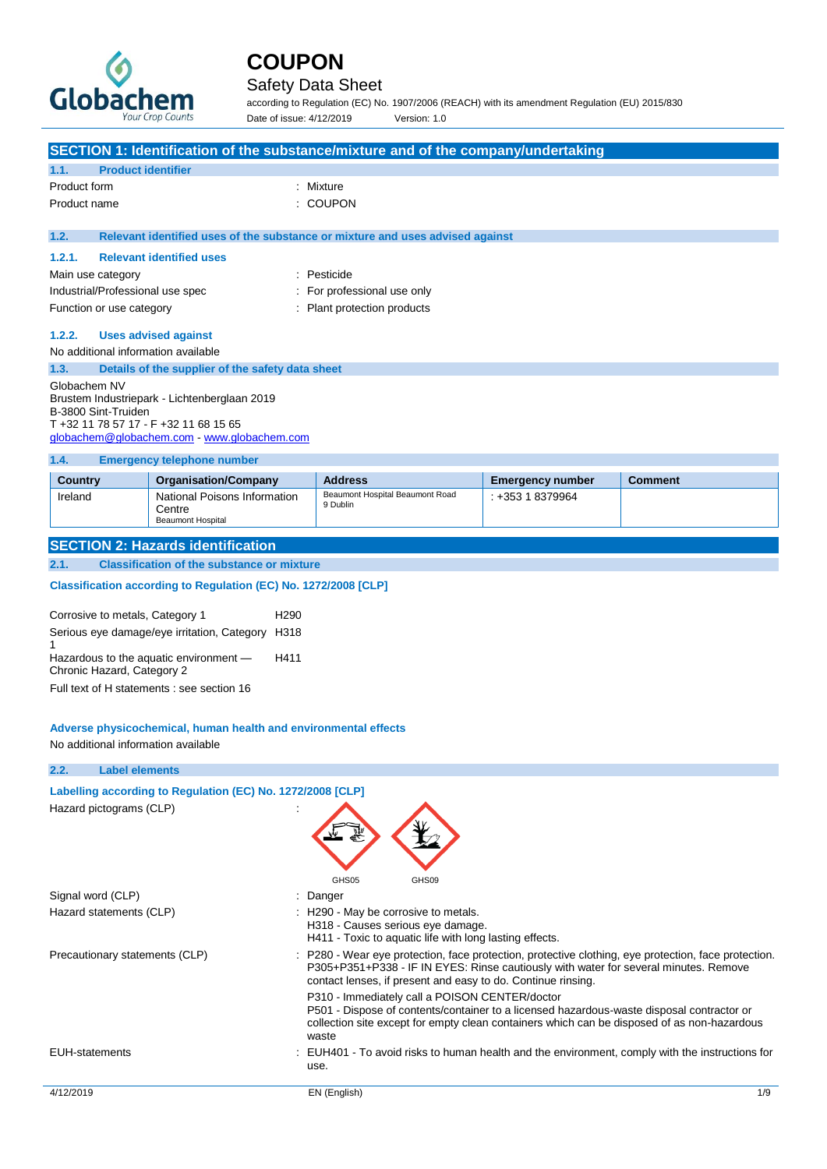

### Safety Data Sheet

according to Regulation (EC) No. 1907/2006 (REACH) with its amendment Regulation (EU) 2015/830 Date of issue: 4/12/2019 Version: 1.0

| SECTION 1: Identification of the substance/mixture and of the company/undertaking |                                                                                      |                                             |                         |                |  |
|-----------------------------------------------------------------------------------|--------------------------------------------------------------------------------------|---------------------------------------------|-------------------------|----------------|--|
| 1.1.                                                                              | <b>Product identifier</b>                                                            |                                             |                         |                |  |
| Product form<br>Mixture                                                           |                                                                                      |                                             |                         |                |  |
| Product name                                                                      |                                                                                      | <b>COUPON</b>                               |                         |                |  |
|                                                                                   |                                                                                      |                                             |                         |                |  |
| 1.2.                                                                              | Relevant identified uses of the substance or mixture and uses advised against        |                                             |                         |                |  |
| 1.2.1.                                                                            | <b>Relevant identified uses</b>                                                      |                                             |                         |                |  |
| Main use category                                                                 |                                                                                      | : Pesticide                                 |                         |                |  |
| Industrial/Professional use spec                                                  |                                                                                      | For professional use only                   |                         |                |  |
| Function or use category                                                          |                                                                                      | : Plant protection products                 |                         |                |  |
| 1.2.2.                                                                            | <b>Uses advised against</b>                                                          |                                             |                         |                |  |
| No additional information available                                               |                                                                                      |                                             |                         |                |  |
| 1.3.                                                                              | Details of the supplier of the safety data sheet                                     |                                             |                         |                |  |
| Globachem NV                                                                      |                                                                                      |                                             |                         |                |  |
|                                                                                   | Brustem Industriepark - Lichtenberglaan 2019                                         |                                             |                         |                |  |
| B-3800 Sint-Truiden                                                               |                                                                                      |                                             |                         |                |  |
|                                                                                   | T +32 11 78 57 17 - F +32 11 68 15 65<br>globachem@globachem.com - www.globachem.com |                                             |                         |                |  |
|                                                                                   |                                                                                      |                                             |                         |                |  |
| 1.4.                                                                              | <b>Emergency telephone number</b>                                                    |                                             |                         |                |  |
| <b>Country</b>                                                                    | <b>Organisation/Company</b>                                                          | <b>Address</b>                              | <b>Emergency number</b> | <b>Comment</b> |  |
| Ireland                                                                           | National Poisons Information                                                         | Beaumont Hospital Beaumont Road<br>9 Dublin | $: +35318379964$        |                |  |
| Centre<br><b>Beaumont Hospital</b>                                                |                                                                                      |                                             |                         |                |  |
|                                                                                   |                                                                                      |                                             |                         |                |  |
| <b>SECTION 2: Hazards identification</b>                                          |                                                                                      |                                             |                         |                |  |
| 2.1.                                                                              | <b>Classification of the substance or mixture</b>                                    |                                             |                         |                |  |
| Classification according to Regulation (EC) No. 1272/2008 [CLP]                   |                                                                                      |                                             |                         |                |  |

| Corrosive to metals, Category 1                                      | H <sub>290</sub> |
|----------------------------------------------------------------------|------------------|
| Serious eye damage/eye irritation, Category H318                     |                  |
| Hazardous to the aquatic environment -<br>Chronic Hazard, Category 2 | H411             |
| Full text of H statements : see section 16                           |                  |

#### **Adverse physicochemical, human health and environmental effects**

No additional information available

#### **2.2. Label elements**

#### **Labelling according to Regulation (EC) No. 1272/2008 [CLP]**

Hazard pictograms (CLP)



|                                | GHS05                                                                     | GHS09                                                                                                                                                                                                                                                        |
|--------------------------------|---------------------------------------------------------------------------|--------------------------------------------------------------------------------------------------------------------------------------------------------------------------------------------------------------------------------------------------------------|
| Signal word (CLP)              | : Danger                                                                  |                                                                                                                                                                                                                                                              |
| Hazard statements (CLP)        | : H290 - May be corrosive to metals.<br>H318 - Causes serious eye damage. | H411 - Toxic to aquatic life with long lasting effects.                                                                                                                                                                                                      |
| Precautionary statements (CLP) |                                                                           | : P280 - Wear eye protection, face protection, protective clothing, eye protection, face protection.<br>P305+P351+P338 - IF IN EYES: Rinse cautiously with water for several minutes. Remove<br>contact lenses, if present and easy to do. Continue rinsing. |
|                                | waste                                                                     | P310 - Immediately call a POISON CENTER/doctor<br>P501 - Dispose of contents/container to a licensed hazardous-waste disposal contractor or<br>collection site except for empty clean containers which can be disposed of as non-hazardous                   |
| <b>EUH-statements</b>          | use.                                                                      | : EUH401 - To avoid risks to human health and the environment, comply with the instructions for                                                                                                                                                              |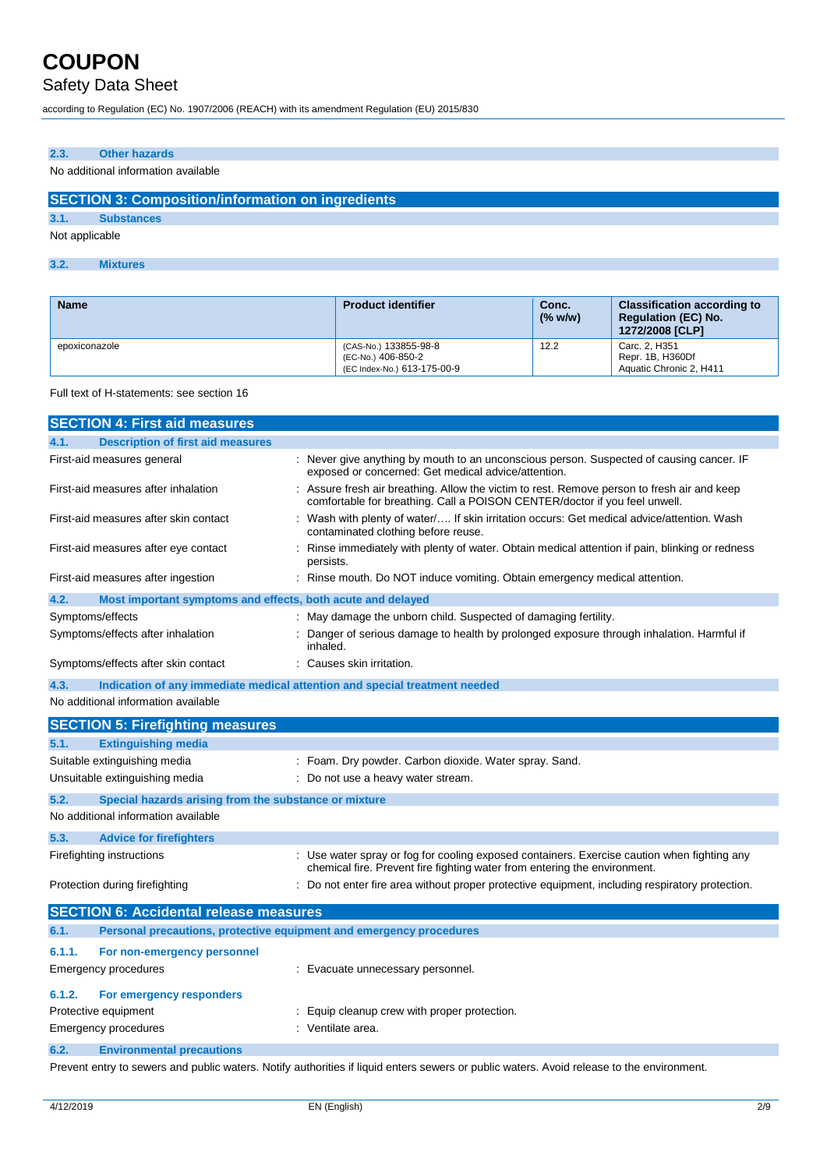Safety Data Sheet

according to Regulation (EC) No. 1907/2006 (REACH) with its amendment Regulation (EU) 2015/830

#### **2.3. Other hazards**

#### No additional information available

#### **SECTION 3: Composition/information on ingredients**

**3.1. Substances**

Not applicable

#### **3.2. Mixtures**

| <b>Name</b>   | <b>Product identifier</b>                                                  | Conc.<br>(% w/w) | <b>Classification according to</b><br><b>Regulation (EC) No.</b><br>1272/2008 [CLP] |
|---------------|----------------------------------------------------------------------------|------------------|-------------------------------------------------------------------------------------|
| epoxiconazole | (CAS-No.) 133855-98-8<br>(EC-No.) 406-850-2<br>(EC Index-No.) 613-175-00-9 | 12.2             | Carc. 2. H351<br>Repr. 1B, H360Df<br>Aquatic Chronic 2. H411                        |

#### Full text of H-statements: see section 16

|        | <b>SECTION 4: First aid measures</b>                                |  |                                                                                                                                                                           |
|--------|---------------------------------------------------------------------|--|---------------------------------------------------------------------------------------------------------------------------------------------------------------------------|
| 4.1.   | <b>Description of first aid measures</b>                            |  |                                                                                                                                                                           |
|        | First-aid measures general                                          |  | Never give anything by mouth to an unconscious person. Suspected of causing cancer. IF<br>exposed or concerned: Get medical advice/attention.                             |
|        | First-aid measures after inhalation                                 |  | : Assure fresh air breathing. Allow the victim to rest. Remove person to fresh air and keep<br>comfortable for breathing. Call a POISON CENTER/doctor if you feel unwell. |
|        | First-aid measures after skin contact                               |  | Wash with plenty of water/ If skin irritation occurs: Get medical advice/attention. Wash<br>contaminated clothing before reuse.                                           |
|        | First-aid measures after eye contact                                |  | Rinse immediately with plenty of water. Obtain medical attention if pain, blinking or redness<br>persists.                                                                |
|        | First-aid measures after ingestion                                  |  | Rinse mouth. Do NOT induce vomiting. Obtain emergency medical attention.                                                                                                  |
| 4.2.   | Most important symptoms and effects, both acute and delayed         |  |                                                                                                                                                                           |
|        | Symptoms/effects                                                    |  | May damage the unborn child. Suspected of damaging fertility.                                                                                                             |
|        | Symptoms/effects after inhalation                                   |  | Danger of serious damage to health by prolonged exposure through inhalation. Harmful if<br>inhaled.                                                                       |
|        | Symptoms/effects after skin contact                                 |  | Causes skin irritation.                                                                                                                                                   |
| 4.3.   |                                                                     |  | Indication of any immediate medical attention and special treatment needed                                                                                                |
|        | No additional information available                                 |  |                                                                                                                                                                           |
|        | <b>SECTION 5: Firefighting measures</b>                             |  |                                                                                                                                                                           |
| 5.1.   | <b>Extinguishing media</b>                                          |  |                                                                                                                                                                           |
|        | Suitable extinguishing media                                        |  | : Foam. Dry powder. Carbon dioxide. Water spray. Sand.                                                                                                                    |
|        | Unsuitable extinguishing media                                      |  | Do not use a heavy water stream.                                                                                                                                          |
| 5.2.   | Special hazards arising from the substance or mixture               |  |                                                                                                                                                                           |
|        | No additional information available                                 |  |                                                                                                                                                                           |
| 5.3.   | <b>Advice for firefighters</b>                                      |  |                                                                                                                                                                           |
|        | Firefighting instructions                                           |  | : Use water spray or fog for cooling exposed containers. Exercise caution when fighting any<br>chemical fire. Prevent fire fighting water from entering the environment.  |
|        | Protection during firefighting                                      |  | Do not enter fire area without proper protective equipment, including respiratory protection.                                                                             |
|        | <b>SECTION 6: Accidental release measures</b>                       |  |                                                                                                                                                                           |
| 6.1.   | Personal precautions, protective equipment and emergency procedures |  |                                                                                                                                                                           |
| 6.1.1. | For non-emergency personnel                                         |  |                                                                                                                                                                           |
|        | Emergency procedures                                                |  | Evacuate unnecessary personnel.                                                                                                                                           |
| 6.1.2. | For emergency responders                                            |  |                                                                                                                                                                           |
|        | Protective equipment<br>Equip cleanup crew with proper protection.  |  |                                                                                                                                                                           |
|        | <b>Emergency procedures</b>                                         |  | : Ventilate area.                                                                                                                                                         |
| 6.2.   | <b>Environmental precautions</b>                                    |  |                                                                                                                                                                           |

Prevent entry to sewers and public waters. Notify authorities if liquid enters sewers or public waters. Avoid release to the environment.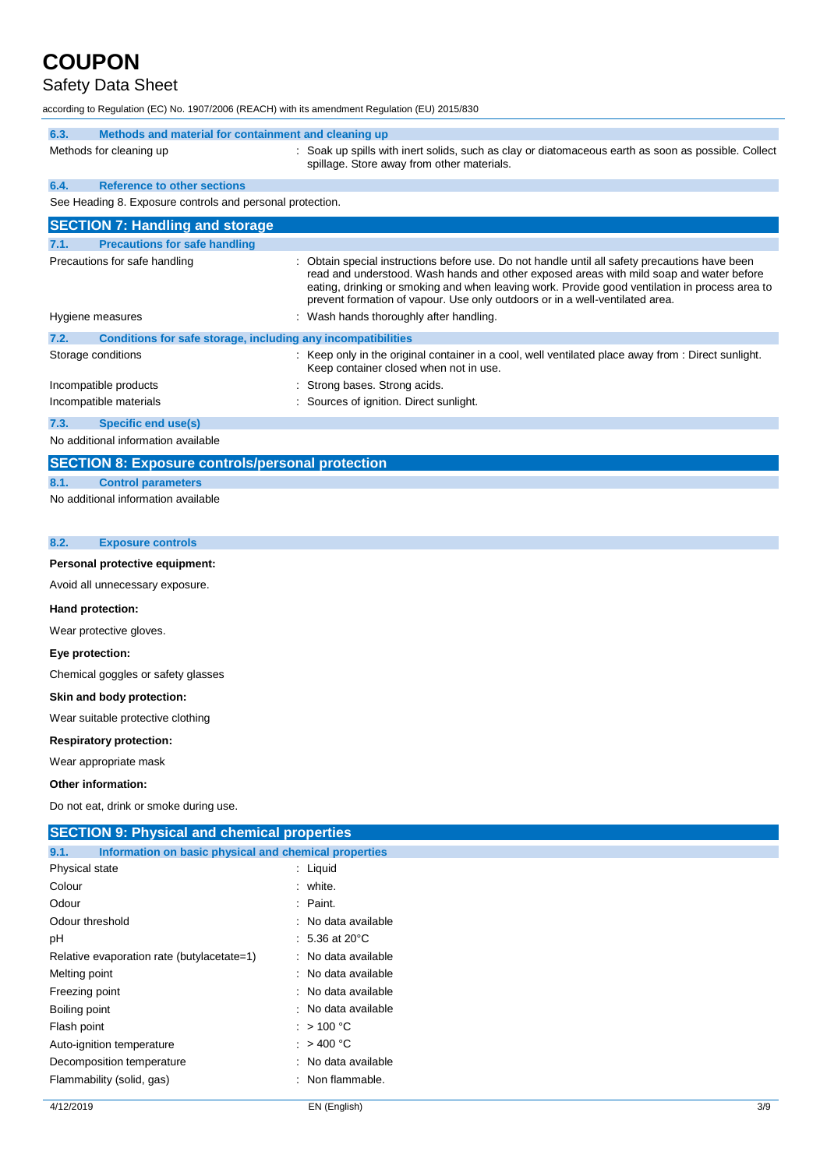### Safety Data Sheet

according to Regulation (EC) No. 1907/2006 (REACH) with its amendment Regulation (EU) 2015/830

| 6.3.                                                      | Methods and material for containment and cleaning up                                                                                                                                                                                                                                                                                                                      |
|-----------------------------------------------------------|---------------------------------------------------------------------------------------------------------------------------------------------------------------------------------------------------------------------------------------------------------------------------------------------------------------------------------------------------------------------------|
| Methods for cleaning up                                   | : Soak up spills with inert solids, such as clay or diatomaceous earth as soon as possible. Collect<br>spillage. Store away from other materials.                                                                                                                                                                                                                         |
| 6.4.<br><b>Reference to other sections</b>                |                                                                                                                                                                                                                                                                                                                                                                           |
| See Heading 8. Exposure controls and personal protection. |                                                                                                                                                                                                                                                                                                                                                                           |
| <b>SECTION 7: Handling and storage</b>                    |                                                                                                                                                                                                                                                                                                                                                                           |
| <b>Precautions for safe handling</b><br>7.1.              |                                                                                                                                                                                                                                                                                                                                                                           |
| Precautions for safe handling                             | Obtain special instructions before use. Do not handle until all safety precautions have been<br>read and understood. Wash hands and other exposed areas with mild soap and water before<br>eating, drinking or smoking and when leaving work. Provide good ventilation in process area to<br>prevent formation of vapour. Use only outdoors or in a well-ventilated area. |
| Hygiene measures                                          | Wash hands thoroughly after handling.                                                                                                                                                                                                                                                                                                                                     |
| 7.2.                                                      | Conditions for safe storage, including any incompatibilities                                                                                                                                                                                                                                                                                                              |
| Storage conditions                                        | : Keep only in the original container in a cool, well ventilated place away from : Direct sunlight.<br>Keep container closed when not in use.                                                                                                                                                                                                                             |
| Incompatible products                                     | : Strong bases. Strong acids.                                                                                                                                                                                                                                                                                                                                             |
| Incompatible materials                                    | : Sources of ignition. Direct sunlight.                                                                                                                                                                                                                                                                                                                                   |
| <b>Specific end use(s)</b><br>7.3.                        |                                                                                                                                                                                                                                                                                                                                                                           |
| No additional information available                       |                                                                                                                                                                                                                                                                                                                                                                           |

#### **SECTION 8: Exposure controls/personal protection**

**8.1. Control parameters** No additional information available

| 8.2. | <b>Exposure controls</b> |  |
|------|--------------------------|--|
|------|--------------------------|--|

#### **Personal protective equipment:**

Avoid all unnecessary exposure.

#### **Hand protection:**

Wear protective gloves.

**Eye protection:**

Chemical goggles or safety glasses

#### **Skin and body protection:**

Wear suitable protective clothing

#### **Respiratory protection:**

Wear appropriate mask

#### **Other information:**

Do not eat, drink or smoke during use.

| <b>SECTION 9: Physical and chemical properties</b>    |  |  |  |  |
|-------------------------------------------------------|--|--|--|--|
| Information on basic physical and chemical properties |  |  |  |  |
| $:$ Liquid                                            |  |  |  |  |
| : white.                                              |  |  |  |  |
| : Paint.                                              |  |  |  |  |
| : No data available                                   |  |  |  |  |
| : 5.36 at 20 °C                                       |  |  |  |  |
| : No data available                                   |  |  |  |  |
| : No data available                                   |  |  |  |  |
| : No data available                                   |  |  |  |  |
| : No data available                                   |  |  |  |  |
| : $>100 °C$                                           |  |  |  |  |
| : $>400^{\circ}$ C                                    |  |  |  |  |
| : No data available                                   |  |  |  |  |
| : Non flammable.                                      |  |  |  |  |
|                                                       |  |  |  |  |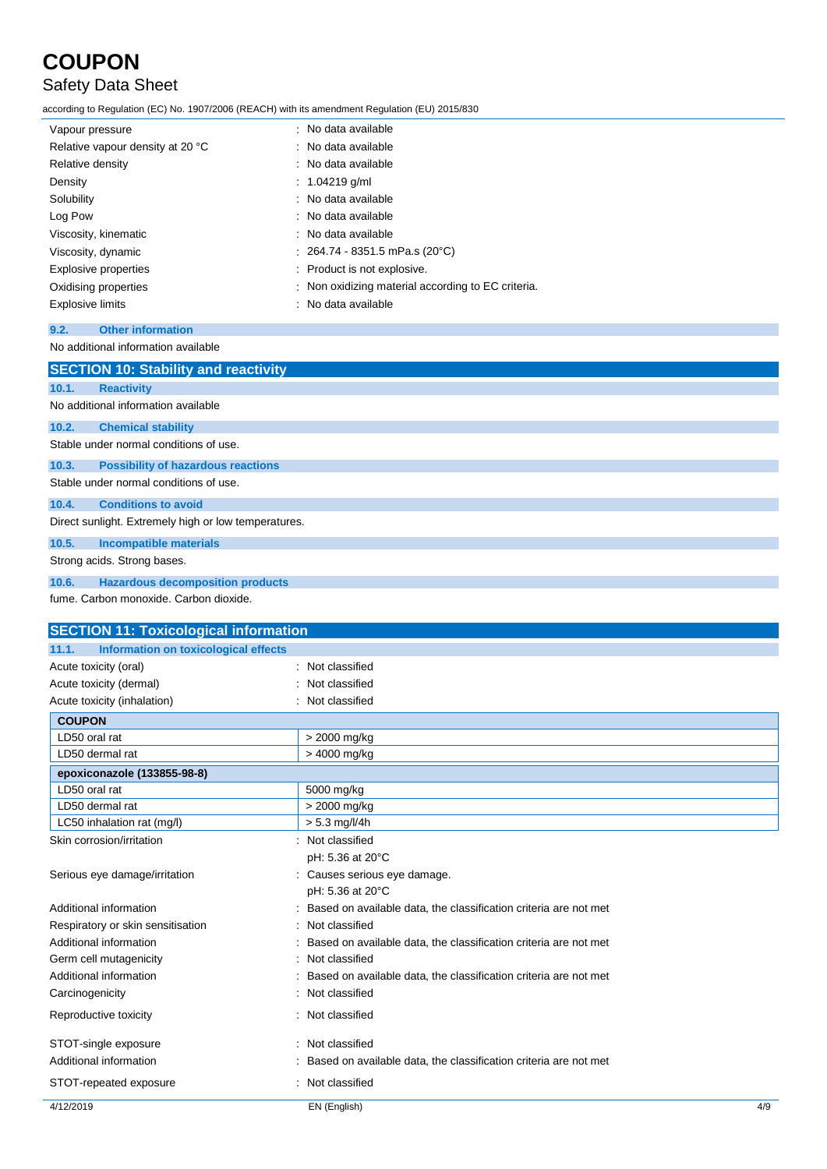### Safety Data Sheet

according to Regulation (EC) No. 1907/2006 (REACH) with its amendment Regulation (EU) 2015/830

| Vapour pressure                  | : No data available                                |
|----------------------------------|----------------------------------------------------|
| Relative vapour density at 20 °C | : No data available                                |
| Relative density                 | : No data available                                |
| Density                          | : $1.04219$ g/ml                                   |
| Solubility                       | : No data available                                |
| Log Pow                          | : No data available                                |
| Viscosity, kinematic             | $\therefore$ No data available                     |
| Viscosity, dynamic               | : 264.74 - 8351.5 mPa.s (20°C)                     |
| <b>Explosive properties</b>      | : Product is not explosive.                        |
| Oxidising properties             | : Non oxidizing material according to EC criteria. |
| <b>Explosive limits</b>          | : No data available                                |

#### **9.2. Other information**

```
No additional information available
```

|                                                      | <b>SECTION 10: Stability and reactivity</b> |  |  |
|------------------------------------------------------|---------------------------------------------|--|--|
| 10.1.                                                | <b>Reactivity</b>                           |  |  |
|                                                      | No additional information available         |  |  |
| 10.2.                                                | <b>Chemical stability</b>                   |  |  |
|                                                      | Stable under normal conditions of use.      |  |  |
| 10.3.                                                | <b>Possibility of hazardous reactions</b>   |  |  |
|                                                      | Stable under normal conditions of use.      |  |  |
| 10.4.                                                | <b>Conditions to avoid</b>                  |  |  |
| Direct sunlight. Extremely high or low temperatures. |                                             |  |  |
| 10.5.                                                | <b>Incompatible materials</b>               |  |  |
| Strong acids. Strong bases.                          |                                             |  |  |
| 10.6.                                                | <b>Hazardous decomposition products</b>     |  |  |
|                                                      | fume Carbon monoxide Carbon dioxide         |  |  |

fume. Carbon monoxide. Carbon dioxide.

| <b>SECTION 11: Toxicological information</b>  |                                                                  |  |  |  |
|-----------------------------------------------|------------------------------------------------------------------|--|--|--|
| 11.1.<br>Information on toxicological effects |                                                                  |  |  |  |
| Acute toxicity (oral)                         | Not classified                                                   |  |  |  |
| Acute toxicity (dermal)                       | Not classified                                                   |  |  |  |
| Acute toxicity (inhalation)                   | Not classified                                                   |  |  |  |
| <b>COUPON</b>                                 |                                                                  |  |  |  |
| LD50 oral rat                                 | > 2000 mg/kg                                                     |  |  |  |
| LD50 dermal rat                               | > 4000 mg/kg                                                     |  |  |  |
| epoxiconazole (133855-98-8)                   |                                                                  |  |  |  |
| LD50 oral rat                                 | 5000 mg/kg                                                       |  |  |  |
| LD50 dermal rat                               | > 2000 mg/kg                                                     |  |  |  |
| LC50 inhalation rat (mg/l)                    | $> 5.3$ mg/l/4h                                                  |  |  |  |
| Skin corrosion/irritation                     | Not classified                                                   |  |  |  |
|                                               | pH: 5.36 at 20°C                                                 |  |  |  |
| Serious eye damage/irritation                 | Causes serious eye damage.                                       |  |  |  |
|                                               | pH: 5.36 at 20°C                                                 |  |  |  |
| Additional information                        | Based on available data, the classification criteria are not met |  |  |  |
| Respiratory or skin sensitisation             | Not classified                                                   |  |  |  |
| Additional information                        | Based on available data, the classification criteria are not met |  |  |  |
| Germ cell mutagenicity                        | Not classified                                                   |  |  |  |
| Additional information                        | Based on available data, the classification criteria are not met |  |  |  |
| Carcinogenicity                               | Not classified                                                   |  |  |  |
| Reproductive toxicity                         | Not classified                                                   |  |  |  |
| STOT-single exposure                          | Not classified                                                   |  |  |  |
| Additional information                        | Based on available data, the classification criteria are not met |  |  |  |
| STOT-repeated exposure                        | Not classified                                                   |  |  |  |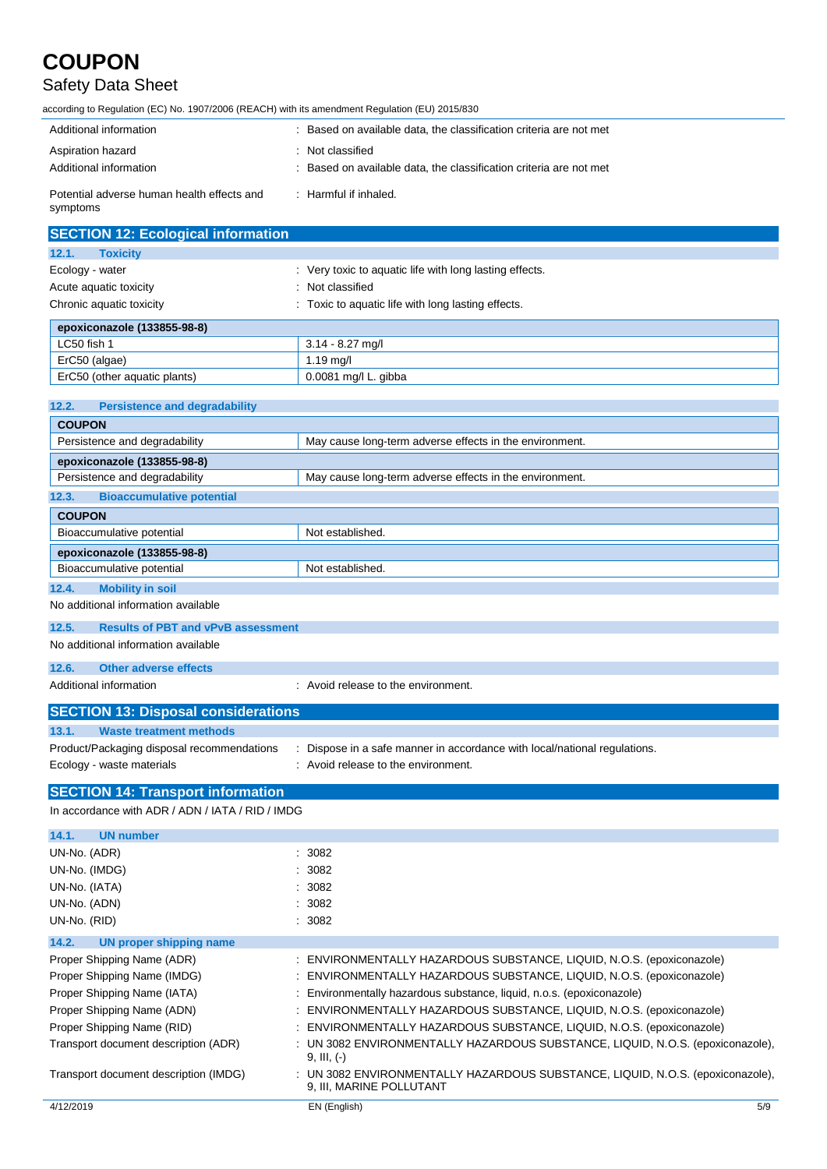### Safety Data Sheet

according to Regulation (EC) No. 1907/2006 (REACH) with its amendment Regulation (EU) 2015/830

| Additional information                                 | : Based on available data, the classification criteria are not met                     |
|--------------------------------------------------------|----------------------------------------------------------------------------------------|
| Aspiration hazard<br>Additional information            | : Not classified<br>: Based on available data, the classification criteria are not met |
| Potential adverse human health effects and<br>symptoms | $\therefore$ Harmful if inhaled.                                                       |

| <b>SECTION 12: Ecological information</b> |                                                         |  |
|-------------------------------------------|---------------------------------------------------------|--|
| 12.1.<br><b>Toxicity</b>                  |                                                         |  |
| Ecology - water                           | : Very toxic to aquatic life with long lasting effects. |  |
| Acute aquatic toxicity                    | : Not classified                                        |  |
| Chronic aquatic toxicity                  | : Toxic to aquatic life with long lasting effects.      |  |
| epoxiconazole (133855-98-8)               |                                                         |  |
| LC50 fish 1                               | $3.14 - 8.27$ mg/l                                      |  |
| ErC50 (algae)                             | $1.19$ mg/l                                             |  |
| ErC50 (other aquatic plants)              | 0.0081 mg/l L. gibba                                    |  |

| 12.2.<br><b>Persistence and degradability</b> |                                                         |
|-----------------------------------------------|---------------------------------------------------------|
| <b>COUPON</b>                                 |                                                         |
| Persistence and degradability                 | May cause long-term adverse effects in the environment. |
| epoxiconazole (133855-98-8)                   |                                                         |
| Persistence and degradability                 | May cause long-term adverse effects in the environment. |
| 12.3.<br><b>Bioaccumulative potential</b>     |                                                         |
| <b>COUPON</b>                                 |                                                         |
| Bioaccumulative potential                     | Not established.                                        |
| epoxiconazole (133855-98-8)                   |                                                         |
| Bioaccumulative potential                     | Not established.                                        |
| 12.4.<br><b>Mobility in soil</b>              |                                                         |
| No additional information available           |                                                         |

#### **12.5. Results of PBT and vPvB assessment**

No additional information available

#### **12.6. Other adverse effects**

Additional information **interest in the environment** of the environment.

| <b>SECTION 13: Disposal considerations</b> |                                                                         |
|--------------------------------------------|-------------------------------------------------------------------------|
| 13.1.<br>Waste treatment methods           |                                                                         |
| Product/Packaging disposal recommendations | Dispose in a safe manner in accordance with local/national regulations. |
| Ecology - waste materials                  | : Avoid release to the environment.                                     |

#### **SECTION 14: Transport information**

In accordance with ADR / ADN / IATA / RID / IMDG

| <b>UN number</b><br>14.1.             |                                                                                                            |     |
|---------------------------------------|------------------------------------------------------------------------------------------------------------|-----|
| UN-No. (ADR)                          | : 3082                                                                                                     |     |
| UN-No. (IMDG)                         | : 3082                                                                                                     |     |
| UN-No. (IATA)                         | : 3082                                                                                                     |     |
| UN-No. (ADN)                          | : 3082                                                                                                     |     |
| UN-No. (RID)                          | : 3082                                                                                                     |     |
| 14.2.<br>UN proper shipping name      |                                                                                                            |     |
| Proper Shipping Name (ADR)            | : ENVIRONMENTALLY HAZARDOUS SUBSTANCE, LIQUID, N.O.S. (epoxiconazole)                                      |     |
| Proper Shipping Name (IMDG)           | : ENVIRONMENTALLY HAZARDOUS SUBSTANCE, LIQUID, N.O.S. (epoxiconazole)                                      |     |
| Proper Shipping Name (IATA)           | : Environmentally hazardous substance, liquid, n.o.s. (epoxiconazole)                                      |     |
| Proper Shipping Name (ADN)            | : ENVIRONMENTALLY HAZARDOUS SUBSTANCE, LIQUID, N.O.S. (epoxiconazole)                                      |     |
| Proper Shipping Name (RID)            | : ENVIRONMENTALLY HAZARDOUS SUBSTANCE, LIQUID, N.O.S. (epoxiconazole)                                      |     |
| Transport document description (ADR)  | : UN 3082 ENVIRONMENTALLY HAZARDOUS SUBSTANCE, LIQUID, N.O.S. (epoxiconazole),<br>$9, III, (-)$            |     |
| Transport document description (IMDG) | : UN 3082 ENVIRONMENTALLY HAZARDOUS SUBSTANCE, LIQUID, N.O.S. (epoxiconazole),<br>9, III, MARINE POLLUTANT |     |
| 4/12/2019                             | EN (English)                                                                                               | 5/9 |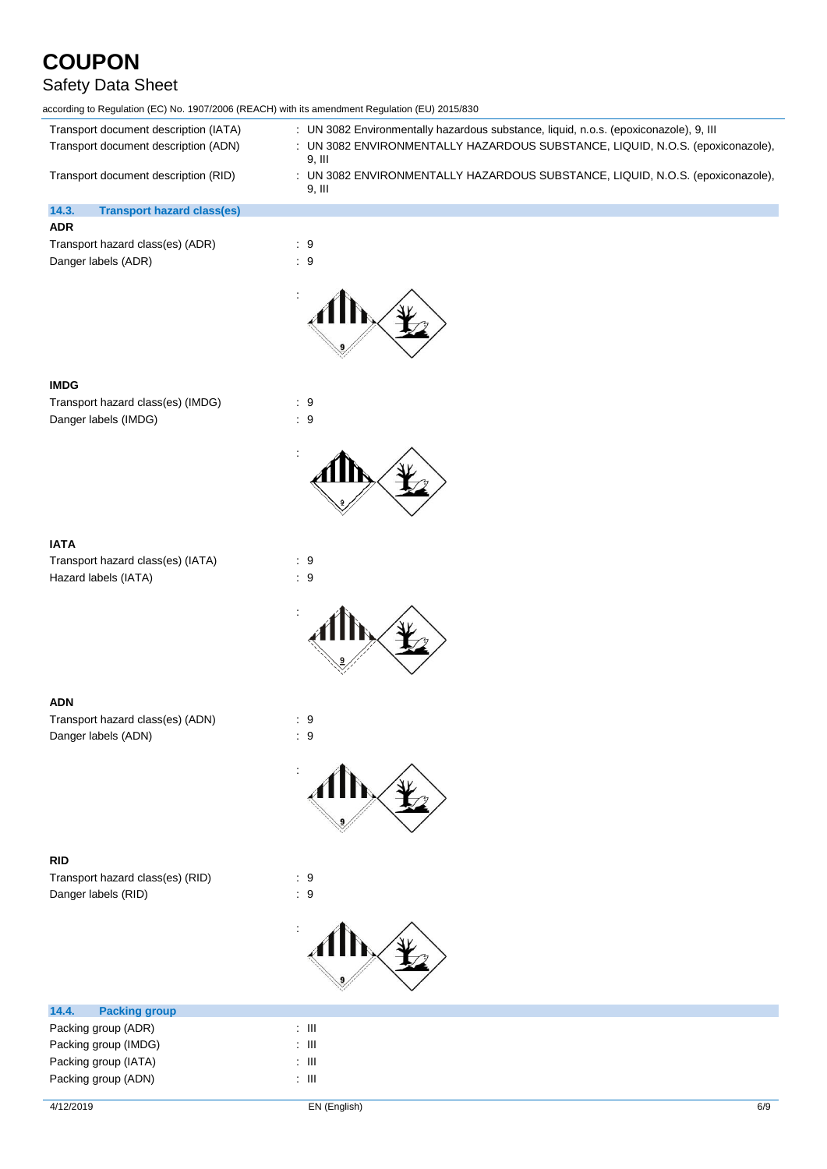### Safety Data Sheet

according to Regulation (EC) No. 1907/2006 (REACH) with its amendment Regulation (EU) 2015/830

| Transport document description (IATA)      | : UN 3082 Environmentally hazardous substance, liquid, n.o.s. (epoxiconazole), 9, III    |
|--------------------------------------------|------------------------------------------------------------------------------------------|
| Transport document description (ADN)       | : UN 3082 ENVIRONMENTALLY HAZARDOUS SUBSTANCE, LIQUID, N.O.S. (epoxiconazole),<br>9. III |
| Transport document description (RID)       | : UN 3082 ENVIRONMENTALLY HAZARDOUS SUBSTANCE, LIQUID, N.O.S. (epoxiconazole),<br>9. III |
| 14.3.<br><b>Transport hazard class(es)</b> |                                                                                          |
| <b>ADR</b>                                 |                                                                                          |
| Transport hazard class(es) (ADR)           | . а                                                                                      |

Transport hazard class(es) (ADR) : 9 Danger labels (ADR) : 9



#### **IMDG**

Transport hazard class(es) (IMDG) : 9 Danger labels (IMDG)  $\qquad \qquad$  : 9



#### **IATA**

Transport hazard class(es) (IATA) : 9 Hazard labels (IATA)  $\qquad \qquad$  : 9



#### **ADN**

Transport hazard class(es) (ADN) : 9 Danger labels (ADN)  $\qquad \qquad$  : 9



#### **RID**

Transport hazard class(es) (RID) : 9 Danger labels (RID)  $\qquad \qquad$  : 9



| 14.4.                | <b>Packing group</b> |       |
|----------------------|----------------------|-------|
|                      | Packing group (ADR)  | : III |
|                      | Packing group (IMDG) | : III |
| Packing group (IATA) |                      | : III |
|                      | Packing group (ADN)  | Ш     |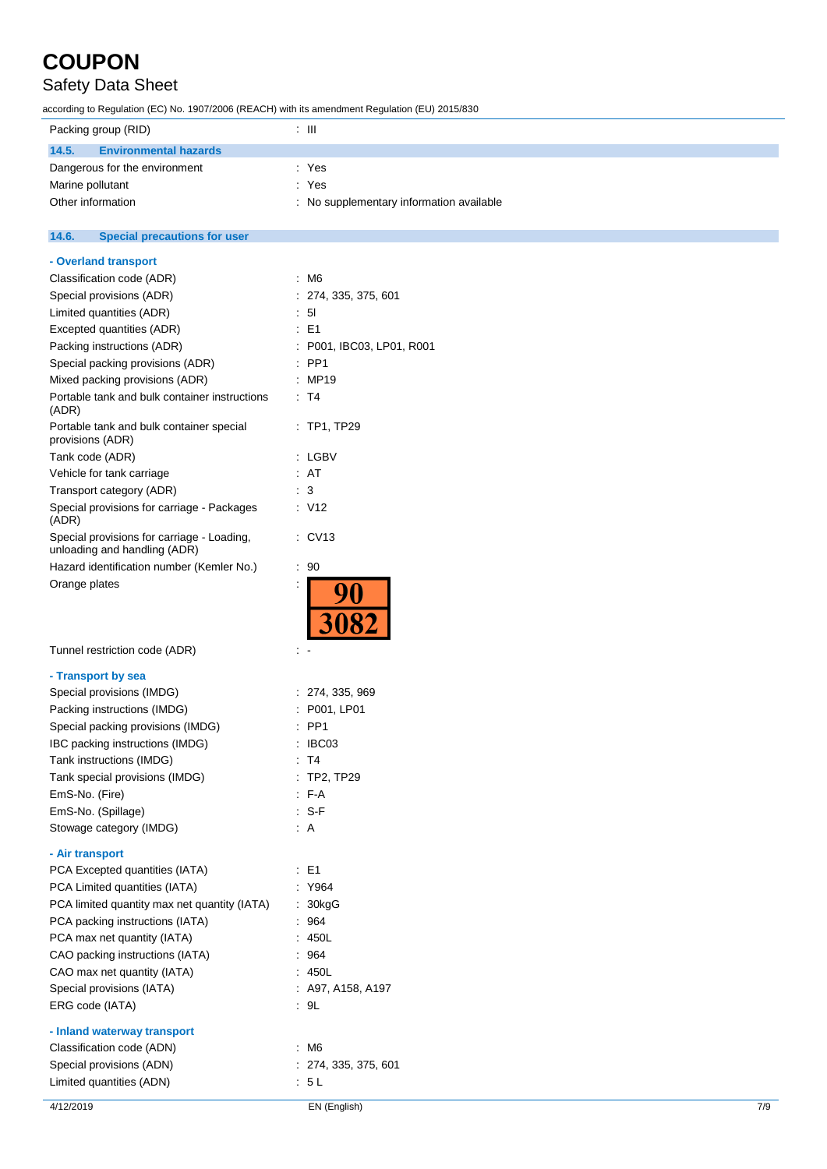### Safety Data Sheet

according to Regulation (EC) No. 1907/2006 (REACH) with its amendment Regulation (EU) 2015/830

| Packing group (RID)                   | : III                                    |
|---------------------------------------|------------------------------------------|
| 14.5.<br><b>Environmental hazards</b> |                                          |
| Dangerous for the environment         | : Yes                                    |
| Marine pollutant                      | : Yes                                    |
| Other information                     | : No supplementary information available |

#### **14.6. Special precautions for user**

| Packing instructions (ADR)                                                 | : P001, IBC03, LP01, R001 |     |
|----------------------------------------------------------------------------|---------------------------|-----|
| Special packing provisions (ADR)                                           | $:$ PP1                   |     |
| Mixed packing provisions (ADR)                                             | : MP19                    |     |
| Portable tank and bulk container instructions<br>(ADR)                     | $\therefore$ T4           |     |
| Portable tank and bulk container special<br>provisions (ADR)               | $:$ TP1, TP29             |     |
| Tank code (ADR)                                                            | : LGBV                    |     |
| Vehicle for tank carriage                                                  | : AT                      |     |
| Transport category (ADR)                                                   | : 3                       |     |
| Special provisions for carriage - Packages<br>(ADR)                        | : V12                     |     |
| Special provisions for carriage - Loading,<br>unloading and handling (ADR) | $:$ CV13                  |     |
| Hazard identification number (Kemler No.)                                  | : 90                      |     |
| Orange plates                                                              |                           |     |
| Tunnel restriction code (ADR)                                              |                           |     |
| - Transport by sea                                                         |                           |     |
| Special provisions (IMDG)                                                  | : 274, 335, 969           |     |
| Packing instructions (IMDG)                                                | P001, LP01                |     |
| Special packing provisions (IMDG)                                          | PP <sub>1</sub>           |     |
| IBC packing instructions (IMDG)                                            | IBC03                     |     |
| Tank instructions (IMDG)                                                   | : T4                      |     |
| Tank special provisions (IMDG)                                             | : TP2, TP29               |     |
| EmS-No. (Fire)                                                             | : F-A                     |     |
| EmS-No. (Spillage)                                                         | $: S-F$                   |     |
| Stowage category (IMDG)                                                    | $\therefore$ A            |     |
| - Air transport                                                            |                           |     |
| PCA Excepted quantities (IATA)                                             | : E1                      |     |
| PCA Limited quantities (IATA)                                              | : Y964                    |     |
| PCA limited quantity max net quantity (IATA)                               | 30kgG                     |     |
| PCA packing instructions (IATA)                                            | : 964                     |     |
| PCA max net quantity (IATA)                                                | : 450L                    |     |
| CAO packing instructions (IATA)                                            | 964                       |     |
| CAO max net quantity (IATA)                                                | : 450L                    |     |
| Special provisions (IATA)                                                  | : A97, A158, A197         |     |
| ERG code (IATA)                                                            | .9L                       |     |
| - Inland waterway transport                                                |                           |     |
| Classification code (ADN)                                                  | : M6                      |     |
| Special provisions (ADN)                                                   | : 274, 335, 375, 601      |     |
| Limited quantities (ADN)                                                   | : 5L                      |     |
| 4/12/2019                                                                  | EN (English)              | 7/9 |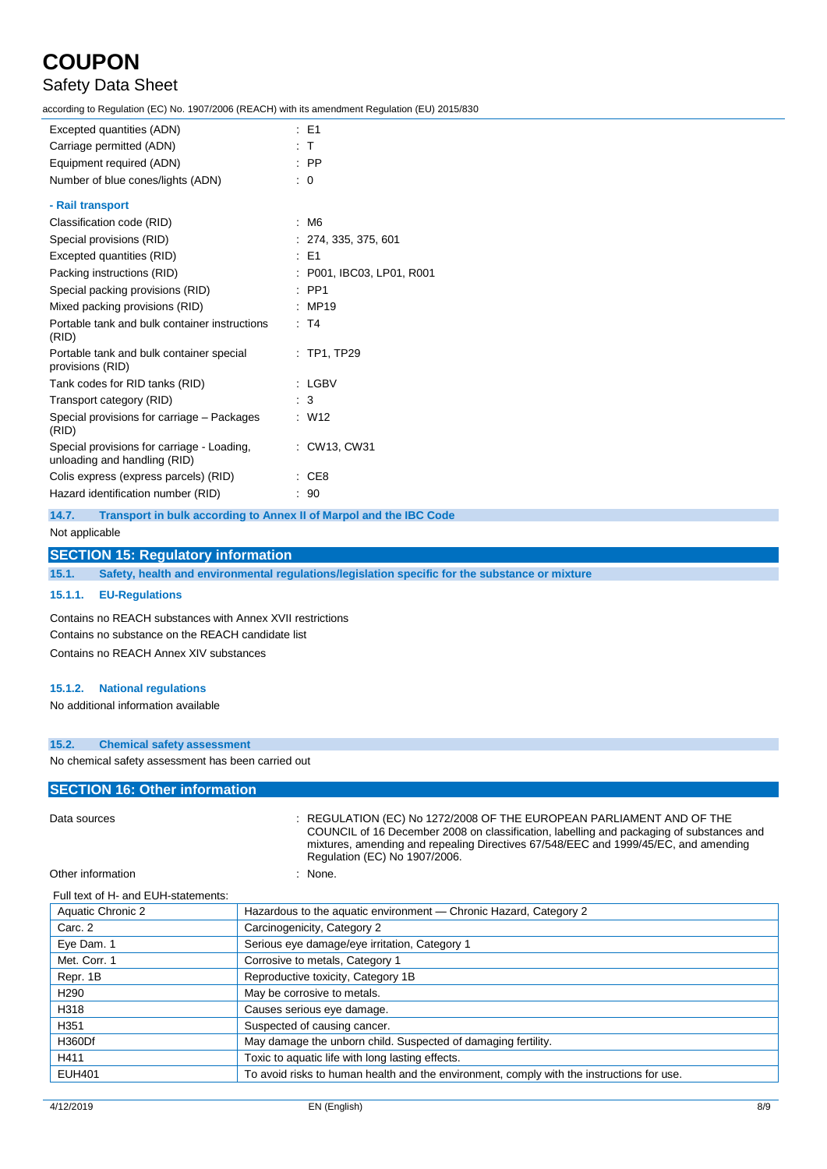### Safety Data Sheet

according to Regulation (EC) No. 1907/2006 (REACH) with its amendment Regulation (EU) 2015/830

| Excepted quantities (ADN)                                                  | $\therefore$ E1           |
|----------------------------------------------------------------------------|---------------------------|
| Carriage permitted (ADN)                                                   | $\pm$ T                   |
| Equipment required (ADN)                                                   | $\therefore$ PP           |
| Number of blue cones/lights (ADN)                                          | $\therefore$ 0            |
| - Rail transport                                                           |                           |
| Classification code (RID)                                                  | : M6                      |
| Special provisions (RID)                                                   | : 274, 335, 375, 601      |
| Excepted quantities (RID)                                                  | $E = 51$                  |
| Packing instructions (RID)                                                 | : P001, IBC03, LP01, R001 |
| Special packing provisions (RID)                                           | $:$ PP1                   |
| Mixed packing provisions (RID)                                             | : MP19                    |
| Portable tank and bulk container instructions<br>(RID)                     | : T4                      |
| Portable tank and bulk container special<br>provisions (RID)               | $:$ TP1, TP29             |
| Tank codes for RID tanks (RID)                                             | : LGBV                    |
| Transport category (RID)                                                   | $\therefore$ 3            |
| Special provisions for carriage – Packages<br>(RID)                        | : W12                     |
| Special provisions for carriage - Loading,<br>unloading and handling (RID) | : CW13, CW31              |
| Colis express (express parcels) (RID)                                      | $\therefore$ CE8          |
| Hazard identification number (RID)                                         | : 90                      |

**14.7. Transport in bulk according to Annex II of Marpol and the IBC Code**

#### Not applicable

#### **SECTION 15: Regulatory information**

**15.1. Safety, health and environmental regulations/legislation specific for the substance or mixture**

#### **15.1.1. EU-Regulations**

Contains no REACH substances with Annex XVII restrictions Contains no substance on the REACH candidate list Contains no REACH Annex XIV substances

#### **15.1.2. National regulations**

No additional information available

#### **15.2. Chemical safety assessment**

No chemical safety assessment has been carried out

#### **SECTION 16: Other information**

Full text of H- and EUH-statements:

Data sources **1.2.2.2008 OF THE EUROPEAN PARLIAMENT AND OF THE** COUNCIL of 16 December 2008 on classification, labelling and packaging of substances and mixtures, amending and repealing Directives 67/548/EEC and 1999/45/EC, and amending Regulation (EC) No 1907/2006.

#### Other information in the state of the state of the state of the state of the state of the state of the state of the state of the state of the state of the state of the state of the state of the state of the state of the st

| Aquatic Chronic 2 | Hazardous to the aquatic environment - Chronic Hazard, Category 2                         |
|-------------------|-------------------------------------------------------------------------------------------|
| Carc. 2           | Carcinogenicity, Category 2                                                               |
| Eye Dam. 1        | Serious eye damage/eye irritation, Category 1                                             |
| Met. Corr. 1      | Corrosive to metals, Category 1                                                           |
| Repr. 1B          | Reproductive toxicity, Category 1B                                                        |
| H <sub>290</sub>  | May be corrosive to metals.                                                               |
| H318              | Causes serious eye damage.                                                                |
| H351              | Suspected of causing cancer.                                                              |
| H360Df            | May damage the unborn child. Suspected of damaging fertility.                             |
| H411              | Toxic to aquatic life with long lasting effects.                                          |
| <b>EUH401</b>     | To avoid risks to human health and the environment, comply with the instructions for use. |
|                   |                                                                                           |